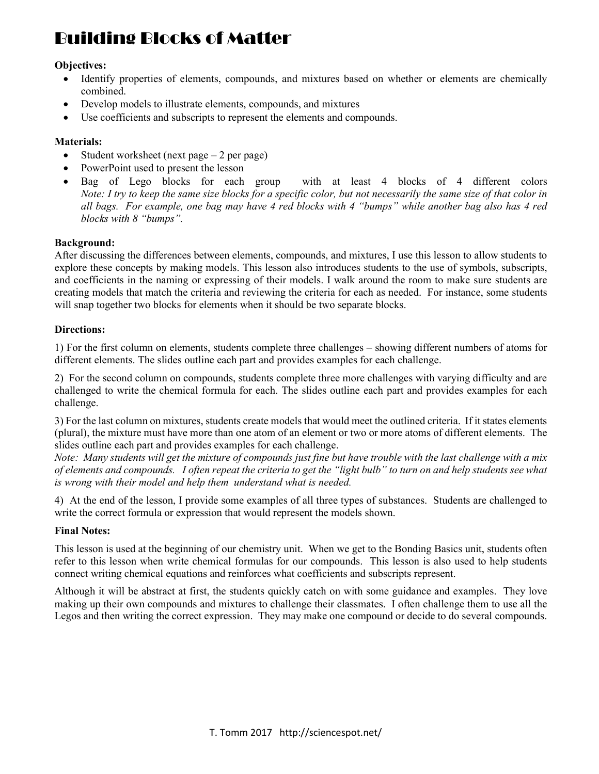# Building Blocks of Matter

## Objectives:

- Identify properties of elements, compounds, and mixtures based on whether or elements are chemically combined.
- Develop models to illustrate elements, compounds, and mixtures
- Use coefficients and subscripts to represent the elements and compounds.

### Materials:

- Student worksheet (next page  $-2$  per page)
- PowerPoint used to present the lesson
- Bag of Lego blocks for each group with at least 4 blocks of 4 different colors Note: I try to keep the same size blocks for a specific color, but not necessarily the same size of that color in all bags. For example, one bag may have 4 red blocks with 4 "bumps" while another bag also has 4 red blocks with 8 "bumps".

#### Background:

After discussing the differences between elements, compounds, and mixtures, I use this lesson to allow students to explore these concepts by making models. This lesson also introduces students to the use of symbols, subscripts, and coefficients in the naming or expressing of their models. I walk around the room to make sure students are creating models that match the criteria and reviewing the criteria for each as needed. For instance, some students will snap together two blocks for elements when it should be two separate blocks.

#### Directions:

1) For the first column on elements, students complete three challenges – showing different numbers of atoms for different elements. The slides outline each part and provides examples for each challenge.

2) For the second column on compounds, students complete three more challenges with varying difficulty and are challenged to write the chemical formula for each. The slides outline each part and provides examples for each challenge.

3) For the last column on mixtures, students create models that would meet the outlined criteria. If it states elements (plural), the mixture must have more than one atom of an element or two or more atoms of different elements. The slides outline each part and provides examples for each challenge.

Note: Many students will get the mixture of compounds just fine but have trouble with the last challenge with a mix of elements and compounds. I often repeat the criteria to get the "light bulb" to turn on and help students see what is wrong with their model and help them understand what is needed.

4) At the end of the lesson, I provide some examples of all three types of substances. Students are challenged to write the correct formula or expression that would represent the models shown.

#### Final Notes:

This lesson is used at the beginning of our chemistry unit. When we get to the Bonding Basics unit, students often refer to this lesson when write chemical formulas for our compounds. This lesson is also used to help students connect writing chemical equations and reinforces what coefficients and subscripts represent.

Although it will be abstract at first, the students quickly catch on with some guidance and examples. They love making up their own compounds and mixtures to challenge their classmates. I often challenge them to use all the Legos and then writing the correct expression. They may make one compound or decide to do several compounds.